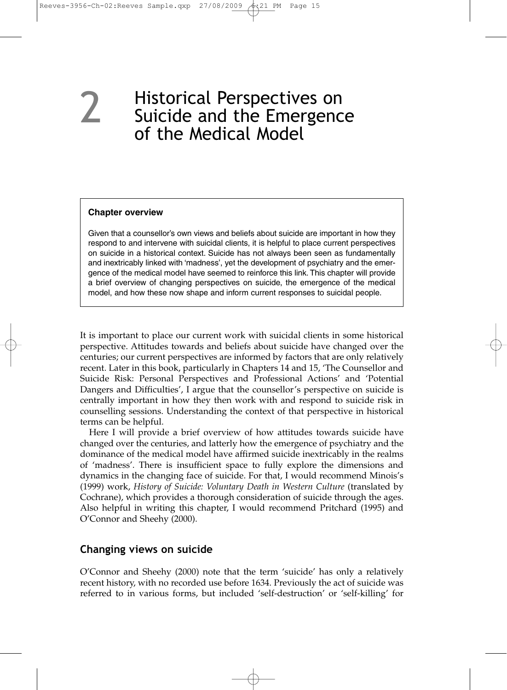# 2 Historical Perspectives on<br>
Suicide and the Emergence of the Medical Model

#### **Chapter overview**

Given that a counsellor's own views and beliefs about suicide are important in how they respond to and intervene with suicidal clients, it is helpful to place current perspectives on suicide in a historical context. Suicide has not always been seen as fundamentally and inextricably linked with 'madness', yet the development of psychiatry and the emergence of the medical model have seemed to reinforce this link. This chapter will provide a brief overview of changing perspectives on suicide, the emergence of the medical model, and how these now shape and inform current responses to suicidal people.

It is important to place our current work with suicidal clients in some historical perspective. Attitudes towards and beliefs about suicide have changed over the centuries; our current perspectives are informed by factors that are only relatively recent. Later in this book, particularly in Chapters 14 and 15, 'The Counsellor and Suicide Risk: Personal Perspectives and Professional Actions' and 'Potential Dangers and Difficulties', I argue that the counsellor's perspective on suicide is centrally important in how they then work with and respond to suicide risk in counselling sessions. Understanding the context of that perspective in historical terms can be helpful.

Here I will provide a brief overview of how attitudes towards suicide have changed over the centuries, and latterly how the emergence of psychiatry and the dominance of the medical model have affirmed suicide inextricably in the realms of 'madness'. There is insufficient space to fully explore the dimensions and dynamics in the changing face of suicide. For that, I would recommend Minois's (1999) work, *History of Suicide: Voluntary Death in Western Culture* (translated by Cochrane), which provides a thorough consideration of suicide through the ages. Also helpful in writing this chapter, I would recommend Pritchard (1995) and O'Connor and Sheehy (2000).

## **Changing views on suicide**

O'Connor and Sheehy (2000) note that the term 'suicide' has only a relatively recent history, with no recorded use before 1634. Previously the act of suicide was referred to in various forms, but included 'self-destruction' or 'self-killing' for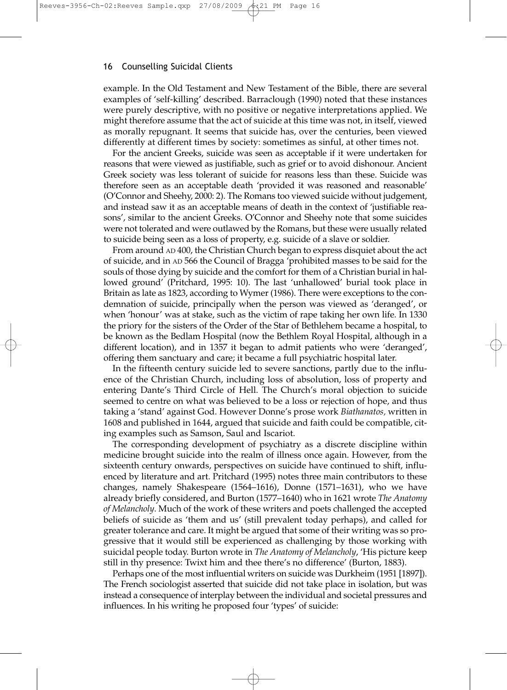#### 16 Counselling Suicidal Clients

example. In the Old Testament and New Testament of the Bible, there are several examples of 'self-killing' described. Barraclough (1990) noted that these instances were purely descriptive, with no positive or negative interpretations applied. We might therefore assume that the act of suicide at this time was not, in itself, viewed as morally repugnant. It seems that suicide has, over the centuries, been viewed differently at different times by society: sometimes as sinful, at other times not.

For the ancient Greeks, suicide was seen as acceptable if it were undertaken for reasons that were viewed as justifiable, such as grief or to avoid dishonour. Ancient Greek society was less tolerant of suicide for reasons less than these. Suicide was therefore seen as an acceptable death 'provided it was reasoned and reasonable' (O'Connor and Sheehy, 2000: 2). The Romans too viewed suicide without judgement, and instead saw it as an acceptable means of death in the context of 'justifiable reasons', similar to the ancient Greeks. O'Connor and Sheehy note that some suicides were not tolerated and were outlawed by the Romans, but these were usually related to suicide being seen as a loss of property, e.g. suicide of a slave or soldier.

From around AD 400, the Christian Church began to express disquiet about the act of suicide, and in AD 566 the Council of Bragga 'prohibited masses to be said for the souls of those dying by suicide and the comfort for them of a Christian burial in hallowed ground' (Pritchard, 1995: 10). The last 'unhallowed' burial took place in Britain as late as 1823, according to Wymer (1986). There were exceptions to the condemnation of suicide, principally when the person was viewed as 'deranged', or when 'honour' was at stake, such as the victim of rape taking her own life. In 1330 the priory for the sisters of the Order of the Star of Bethlehem became a hospital, to be known as the Bedlam Hospital (now the Bethlem Royal Hospital, although in a different location), and in 1357 it began to admit patients who were 'deranged', offering them sanctuary and care; it became a full psychiatric hospital later.

In the fifteenth century suicide led to severe sanctions, partly due to the influence of the Christian Church, including loss of absolution, loss of property and entering Dante's Third Circle of Hell. The Church's moral objection to suicide seemed to centre on what was believed to be a loss or rejection of hope, and thus taking a 'stand' against God. However Donne's prose work *Biathanatos,* written in 1608 and published in 1644, argued that suicide and faith could be compatible, citing examples such as Samson, Saul and Iscariot.

The corresponding development of psychiatry as a discrete discipline within medicine brought suicide into the realm of illness once again. However, from the sixteenth century onwards, perspectives on suicide have continued to shift, influenced by literature and art. Pritchard (1995) notes three main contributors to these changes, namely Shakespeare (1564–1616), Donne (1571–1631), who we have already briefly considered, and Burton (1577–1640) who in 1621 wrote *The Anatomy of Melancholy*. Much of the work of these writers and poets challenged the accepted beliefs of suicide as 'them and us' (still prevalent today perhaps), and called for greater tolerance and care. It might be argued that some of their writing was so progressive that it would still be experienced as challenging by those working with suicidal people today. Burton wrote in *The Anatomy of Melancholy*, 'His picture keep still in thy presence: Twixt him and thee there's no difference' (Burton, 1883).

Perhaps one of the most influential writers on suicide was Durkheim (1951 [1897]). The French sociologist asserted that suicide did not take place in isolation, but was instead a consequence of interplay between the individual and societal pressures and influences. In his writing he proposed four 'types' of suicide: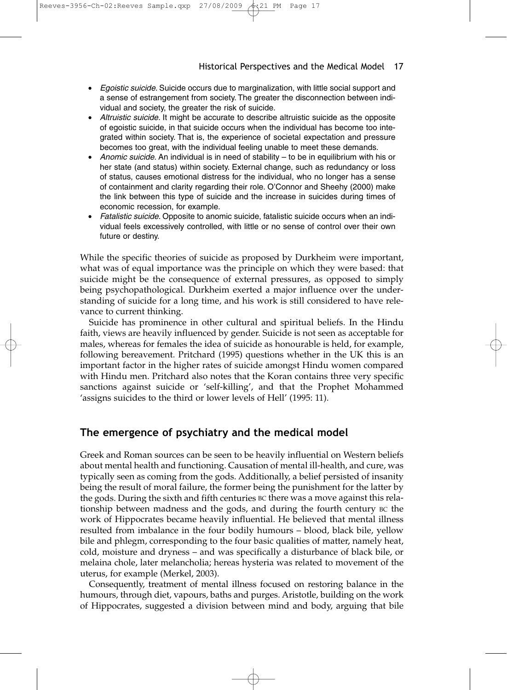#### Reeves-3956-Ch-02:Reeves Sample.qxp 27/08/2009  $\rightarrow$  21 PM

#### Historical Perspectives and the Medical Model 17

- *Egoistic suicide*. Suicide occurs due to marginalization, with little social support and a sense of estrangement from society. The greater the disconnection between individual and society, the greater the risk of suicide.
- *Altruistic suicide*. It might be accurate to describe altruistic suicide as the opposite of egoistic suicide, in that suicide occurs when the individual has become too integrated within society. That is, the experience of societal expectation and pressure becomes too great, with the individual feeling unable to meet these demands.
- *Anomic suicide*. An individual is in need of stability to be in equilibrium with his or her state (and status) within society. External change, such as redundancy or loss of status, causes emotional distress for the individual, who no longer has a sense of containment and clarity regarding their role. O'Connor and Sheehy (2000) make the link between this type of suicide and the increase in suicides during times of economic recession, for example.
- *Fatalistic suicide*. Opposite to anomic suicide, fatalistic suicide occurs when an individual feels excessively controlled, with little or no sense of control over their own future or destiny.

While the specific theories of suicide as proposed by Durkheim were important, what was of equal importance was the principle on which they were based: that suicide might be the consequence of external pressures, as opposed to simply being psychopathological. Durkheim exerted a major influence over the understanding of suicide for a long time, and his work is still considered to have relevance to current thinking.

Suicide has prominence in other cultural and spiritual beliefs. In the Hindu faith, views are heavily influenced by gender. Suicide is not seen as acceptable for males, whereas for females the idea of suicide as honourable is held, for example, following bereavement. Pritchard (1995) questions whether in the UK this is an important factor in the higher rates of suicide amongst Hindu women compared with Hindu men. Pritchard also notes that the Koran contains three very specific sanctions against suicide or 'self-killing', and that the Prophet Mohammed 'assigns suicides to the third or lower levels of Hell' (1995: 11).

## **The emergence of psychiatry and the medical model**

Greek and Roman sources can be seen to be heavily influential on Western beliefs about mental health and functioning. Causation of mental ill-health, and cure, was typically seen as coming from the gods. Additionally, a belief persisted of insanity being the result of moral failure, the former being the punishment for the latter by the gods. During the sixth and fifth centuries BC there was a move against this relationship between madness and the gods, and during the fourth century BC the work of Hippocrates became heavily influential. He believed that mental illness resulted from imbalance in the four bodily humours – blood, black bile, yellow bile and phlegm, corresponding to the four basic qualities of matter, namely heat, cold, moisture and dryness – and was specifically a disturbance of black bile, or melaina chole, later melancholia; hereas hysteria was related to movement of the uterus, for example (Merkel, 2003).

Consequently, treatment of mental illness focused on restoring balance in the humours, through diet, vapours, baths and purges. Aristotle, building on the work of Hippocrates, suggested a division between mind and body, arguing that bile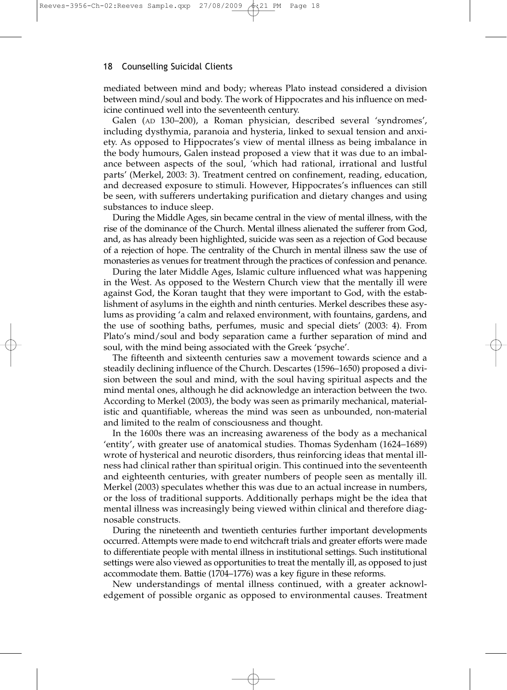#### 18 Counselling Suicidal Clients

mediated between mind and body; whereas Plato instead considered a division between mind/soul and body. The work of Hippocrates and his influence on medicine continued well into the seventeenth century.

Galen (AD 130–200), a Roman physician, described several 'syndromes', including dysthymia, paranoia and hysteria, linked to sexual tension and anxiety. As opposed to Hippocrates's view of mental illness as being imbalance in the body humours, Galen instead proposed a view that it was due to an imbalance between aspects of the soul, *'*which had rational, irrational and lustful parts' (Merkel, 2003: 3). Treatment centred on confinement, reading, education, and decreased exposure to stimuli. However, Hippocrates's influences can still be seen, with sufferers undertaking purification and dietary changes and using substances to induce sleep.

During the Middle Ages, sin became central in the view of mental illness, with the rise of the dominance of the Church. Mental illness alienated the sufferer from God, and, as has already been highlighted, suicide was seen as a rejection of God because of a rejection of hope. The centrality of the Church in mental illness saw the use of monasteries as venues for treatment through the practices of confession and penance.

During the later Middle Ages, Islamic culture influenced what was happening in the West. As opposed to the Western Church view that the mentally ill were against God, the Koran taught that they were important to God, with the establishment of asylums in the eighth and ninth centuries. Merkel describes these asylums as providing 'a calm and relaxed environment, with fountains, gardens, and the use of soothing baths, perfumes, music and special diets' (2003: 4). From Plato's mind/soul and body separation came a further separation of mind and soul, with the mind being associated with the Greek 'psyche'.

The fifteenth and sixteenth centuries saw a movement towards science and a steadily declining influence of the Church. Descartes (1596–1650) proposed a division between the soul and mind, with the soul having spiritual aspects and the mind mental ones, although he did acknowledge an interaction between the two. According to Merkel (2003), the body was seen as primarily mechanical, materialistic and quantifiable, whereas the mind was seen as unbounded, non-material and limited to the realm of consciousness and thought.

In the 1600s there was an increasing awareness of the body as a mechanical 'entity', with greater use of anatomical studies. Thomas Sydenham (1624–1689) wrote of hysterical and neurotic disorders, thus reinforcing ideas that mental illness had clinical rather than spiritual origin. This continued into the seventeenth and eighteenth centuries, with greater numbers of people seen as mentally ill. Merkel (2003) speculates whether this was due to an actual increase in numbers, or the loss of traditional supports. Additionally perhaps might be the idea that mental illness was increasingly being viewed within clinical and therefore diagnosable constructs.

During the nineteenth and twentieth centuries further important developments occurred. Attempts were made to end witchcraft trials and greater efforts were made to differentiate people with mental illness in institutional settings. Such institutional settings were also viewed as opportunities to treat the mentally ill, as opposed to just accommodate them. Battie (1704–1776) was a key figure in these reforms.

New understandings of mental illness continued, with a greater acknowledgement of possible organic as opposed to environmental causes. Treatment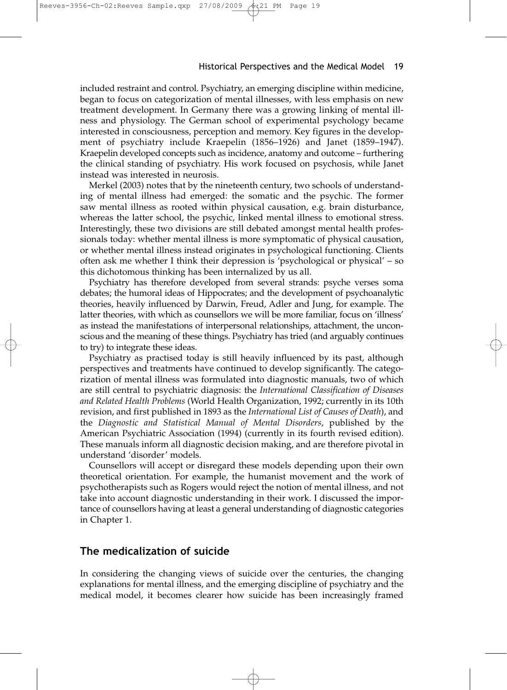#### Reeves-3956-Ch-02:Reeves Sample.qxp  $27/08/2009$   $\rightarrow$   $\rightarrow$  21 PM

#### Historical Perspectives and the Medical Model 19

included restraint and control. Psychiatry, an emerging discipline within medicine, began to focus on categorization of mental illnesses, with less emphasis on new treatment development. In Germany there was a growing linking of mental illness and physiology. The German school of experimental psychology became interested in consciousness, perception and memory. Key figures in the development of psychiatry include Kraepelin (1856–1926) and Janet (1859–1947). Kraepelin developed concepts such as incidence, anatomy and outcome – furthering the clinical standing of psychiatry. His work focused on psychosis, while Janet instead was interested in neurosis.

Merkel (2003) notes that by the nineteenth century, two schools of understanding of mental illness had emerged: the somatic and the psychic. The former saw mental illness as rooted within physical causation, e.g. brain disturbance, whereas the latter school, the psychic, linked mental illness to emotional stress. Interestingly, these two divisions are still debated amongst mental health professionals today: whether mental illness is more symptomatic of physical causation, or whether mental illness instead originates in psychological functioning. Clients often ask me whether I think their depression is 'psychological or physical' – so this dichotomous thinking has been internalized by us all.

Psychiatry has therefore developed from several strands: psyche verses soma debates; the humoral ideas of Hippocrates; and the development of psychoanalytic theories, heavily influenced by Darwin, Freud, Adler and Jung, for example. The latter theories, with which as counsellors we will be more familiar, focus on 'illness' as instead the manifestations of interpersonal relationships, attachment, the unconscious and the meaning of these things. Psychiatry has tried (and arguably continues to try) to integrate these ideas.

Psychiatry as practised today is still heavily influenced by its past, although perspectives and treatments have continued to develop significantly. The categorization of mental illness was formulated into diagnostic manuals, two of which are still central to psychiatric diagnosis: the *International Classification of Diseases and Related Health Problems* (World Health Organization, 1992; currently in its 10th revision, and first published in 1893 as the *International List of Causes of Death*), and the *Diagnostic and Statistical Manual of Mental Disorders*, published by the American Psychiatric Association (1994) (currently in its fourth revised edition). These manuals inform all diagnostic decision making, and are therefore pivotal in understand 'disorder' models.

Counsellors will accept or disregard these models depending upon their own theoretical orientation. For example, the humanist movement and the work of psychotherapists such as Rogers would reject the notion of mental illness, and not take into account diagnostic understanding in their work. I discussed the importance of counsellors having at least a general understanding of diagnostic categories in Chapter 1.

# **The medicalization of suicide**

In considering the changing views of suicide over the centuries, the changing explanations for mental illness, and the emerging discipline of psychiatry and the medical model, it becomes clearer how suicide has been increasingly framed